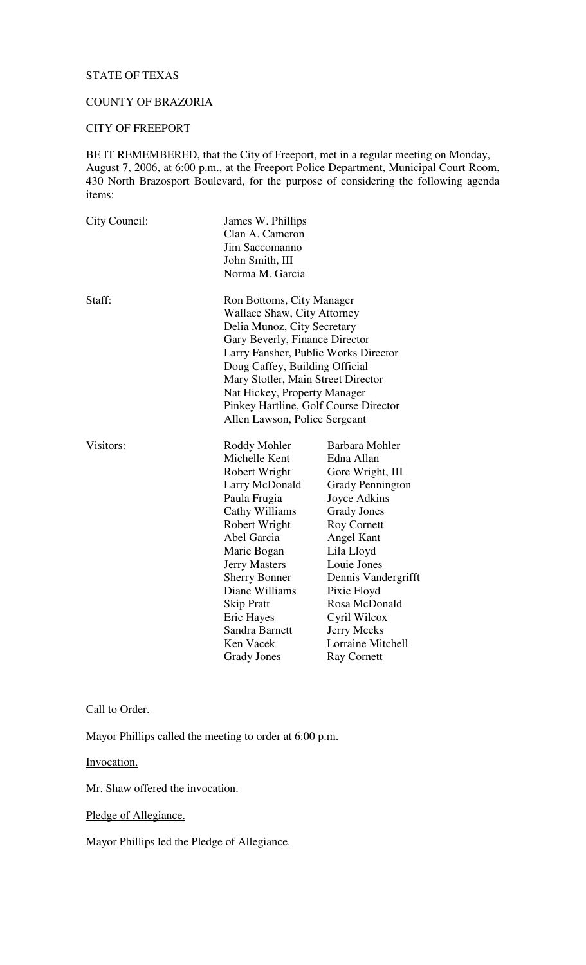# STATE OF TEXAS

# COUNTY OF BRAZORIA

# CITY OF FREEPORT

BE IT REMEMBERED, that the City of Freeport, met in a regular meeting on Monday, August 7, 2006, at 6:00 p.m., at the Freeport Police Department, Municipal Court Room, 430 North Brazosport Boulevard, for the purpose of considering the following agenda items:

| City Council: | James W. Phillips<br>Clan A. Cameron<br>Jim Saccomanno<br>John Smith, III<br>Norma M. Garcia                                                                                                                                                                                                                                                               |                                                                                                                                                                                                                                                                                                                            |
|---------------|------------------------------------------------------------------------------------------------------------------------------------------------------------------------------------------------------------------------------------------------------------------------------------------------------------------------------------------------------------|----------------------------------------------------------------------------------------------------------------------------------------------------------------------------------------------------------------------------------------------------------------------------------------------------------------------------|
| Staff:        | Ron Bottoms, City Manager<br><b>Wallace Shaw, City Attorney</b><br>Delia Munoz, City Secretary<br>Gary Beverly, Finance Director<br>Larry Fansher, Public Works Director<br>Doug Caffey, Building Official<br>Mary Stotler, Main Street Director<br>Nat Hickey, Property Manager<br>Pinkey Hartline, Golf Course Director<br>Allen Lawson, Police Sergeant |                                                                                                                                                                                                                                                                                                                            |
| Visitors:     | Roddy Mohler<br>Michelle Kent<br>Robert Wright<br>Larry McDonald<br>Paula Frugia<br>Cathy Williams<br>Robert Wright<br>Abel Garcia<br>Marie Bogan<br><b>Jerry Masters</b><br><b>Sherry Bonner</b><br>Diane Williams<br><b>Skip Pratt</b><br>Eric Hayes<br>Sandra Barnett<br>Ken Vacek<br><b>Grady Jones</b>                                                | Barbara Mohler<br>Edna Allan<br>Gore Wright, III<br><b>Grady Pennington</b><br>Joyce Adkins<br><b>Grady Jones</b><br><b>Roy Cornett</b><br>Angel Kant<br>Lila Lloyd<br>Louie Jones<br>Dennis Vandergrifft<br>Pixie Floyd<br>Rosa McDonald<br>Cyril Wilcox<br><b>Jerry Meeks</b><br>Lorraine Mitchell<br><b>Ray Cornett</b> |

### Call to Order.

Mayor Phillips called the meeting to order at 6:00 p.m.

Invocation.

Mr. Shaw offered the invocation.

Pledge of Allegiance.

Mayor Phillips led the Pledge of Allegiance.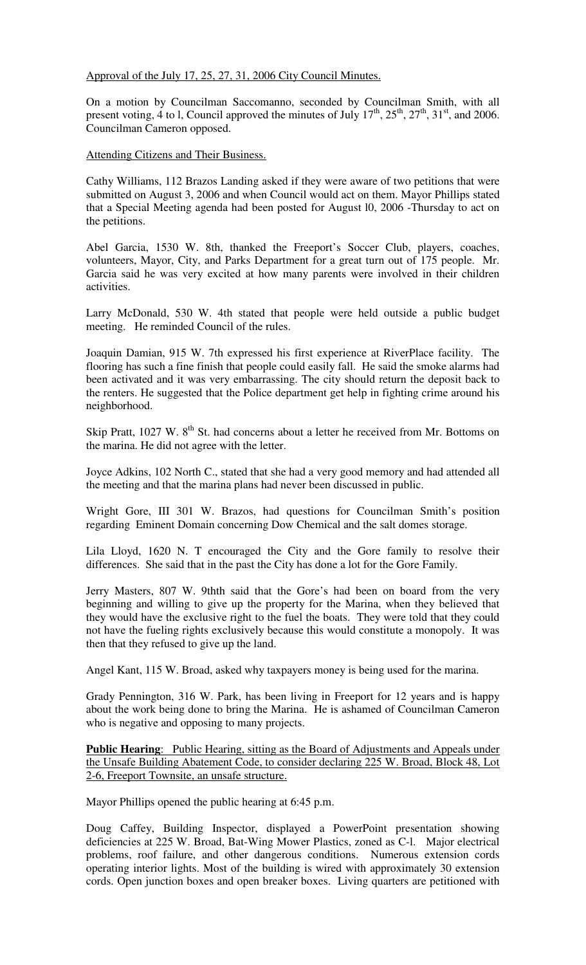Approval of the July 17, 25, 27, 31, 2006 City Council Minutes.

On a motion by Councilman Saccomanno, seconded by Councilman Smith, with all present voting, 4 to 1, Council approved the minutes of July  $17<sup>th</sup>$ ,  $25<sup>th</sup>$ ,  $27<sup>th</sup>$ ,  $31<sup>st</sup>$ , and 2006. Councilman Cameron opposed.

Attending Citizens and Their Business.

Cathy Williams, 112 Brazos Landing asked if they were aware of two petitions that were submitted on August 3, 2006 and when Council would act on them. Mayor Phillips stated that a Special Meeting agenda had been posted for August l0, 2006 -Thursday to act on the petitions.

Abel Garcia, 1530 W. 8th, thanked the Freeport's Soccer Club, players, coaches, volunteers, Mayor, City, and Parks Department for a great turn out of 175 people. Mr. Garcia said he was very excited at how many parents were involved in their children activities.

Larry McDonald, 530 W. 4th stated that people were held outside a public budget meeting. He reminded Council of the rules.

Joaquin Damian, 915 W. 7th expressed his first experience at RiverPlace facility. The flooring has such a fine finish that people could easily fall. He said the smoke alarms had been activated and it was very embarrassing. The city should return the deposit back to the renters. He suggested that the Police department get help in fighting crime around his neighborhood.

Skip Pratt, 1027 W. 8<sup>th</sup> St. had concerns about a letter he received from Mr. Bottoms on the marina. He did not agree with the letter.

Joyce Adkins, 102 North C., stated that she had a very good memory and had attended all the meeting and that the marina plans had never been discussed in public.

Wright Gore, III 301 W. Brazos, had questions for Councilman Smith's position regarding Eminent Domain concerning Dow Chemical and the salt domes storage.

Lila Lloyd, 1620 N. T encouraged the City and the Gore family to resolve their differences. She said that in the past the City has done a lot for the Gore Family.

Jerry Masters, 807 W. 9thth said that the Gore's had been on board from the very beginning and willing to give up the property for the Marina, when they believed that they would have the exclusive right to the fuel the boats. They were told that they could not have the fueling rights exclusively because this would constitute a monopoly. It was then that they refused to give up the land.

Angel Kant, 115 W. Broad, asked why taxpayers money is being used for the marina.

Grady Pennington, 316 W. Park, has been living in Freeport for 12 years and is happy about the work being done to bring the Marina. He is ashamed of Councilman Cameron who is negative and opposing to many projects.

**Public Hearing:** Public Hearing, sitting as the Board of Adjustments and Appeals under the Unsafe Building Abatement Code, to consider declaring 225 W. Broad, Block 48, Lot 2-6, Freeport Townsite, an unsafe structure.

Mayor Phillips opened the public hearing at 6:45 p.m.

Doug Caffey, Building Inspector, displayed a PowerPoint presentation showing deficiencies at 225 W. Broad, Bat-Wing Mower Plastics, zoned as C-l. Major electrical problems, roof failure, and other dangerous conditions. Numerous extension cords operating interior lights. Most of the building is wired with approximately 30 extension cords. Open junction boxes and open breaker boxes. Living quarters are petitioned with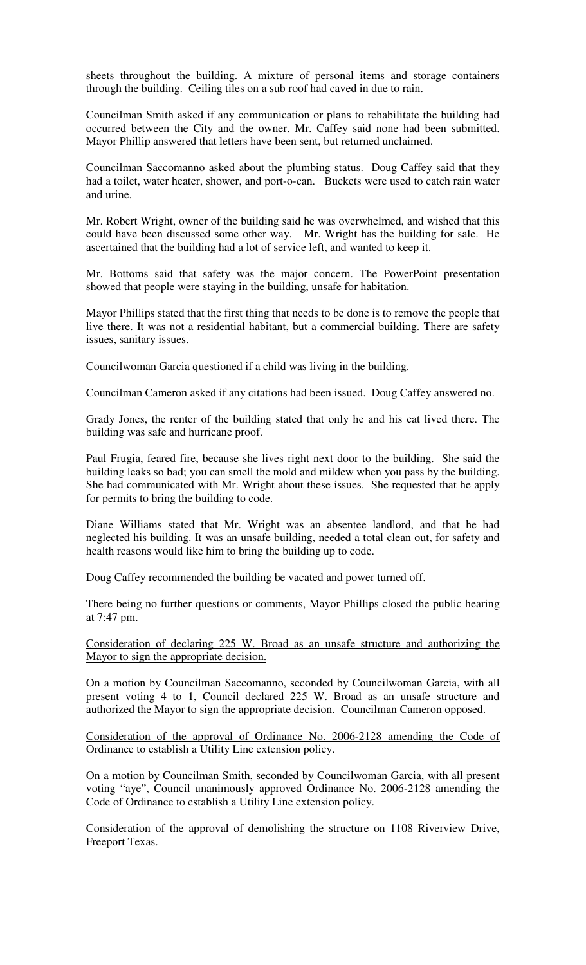sheets throughout the building. A mixture of personal items and storage containers through the building. Ceiling tiles on a sub roof had caved in due to rain.

Councilman Smith asked if any communication or plans to rehabilitate the building had occurred between the City and the owner. Mr. Caffey said none had been submitted. Mayor Phillip answered that letters have been sent, but returned unclaimed.

Councilman Saccomanno asked about the plumbing status. Doug Caffey said that they had a toilet, water heater, shower, and port-o-can. Buckets were used to catch rain water and urine.

Mr. Robert Wright, owner of the building said he was overwhelmed, and wished that this could have been discussed some other way. Mr. Wright has the building for sale. He ascertained that the building had a lot of service left, and wanted to keep it.

Mr. Bottoms said that safety was the major concern. The PowerPoint presentation showed that people were staying in the building, unsafe for habitation.

Mayor Phillips stated that the first thing that needs to be done is to remove the people that live there. It was not a residential habitant, but a commercial building. There are safety issues, sanitary issues.

Councilwoman Garcia questioned if a child was living in the building.

Councilman Cameron asked if any citations had been issued. Doug Caffey answered no.

Grady Jones, the renter of the building stated that only he and his cat lived there. The building was safe and hurricane proof.

Paul Frugia, feared fire, because she lives right next door to the building. She said the building leaks so bad; you can smell the mold and mildew when you pass by the building. She had communicated with Mr. Wright about these issues. She requested that he apply for permits to bring the building to code.

Diane Williams stated that Mr. Wright was an absentee landlord, and that he had neglected his building. It was an unsafe building, needed a total clean out, for safety and health reasons would like him to bring the building up to code.

Doug Caffey recommended the building be vacated and power turned off.

There being no further questions or comments, Mayor Phillips closed the public hearing at 7:47 pm.

Consideration of declaring 225 W. Broad as an unsafe structure and authorizing the Mayor to sign the appropriate decision.

On a motion by Councilman Saccomanno, seconded by Councilwoman Garcia, with all present voting 4 to 1, Council declared 225 W. Broad as an unsafe structure and authorized the Mayor to sign the appropriate decision. Councilman Cameron opposed.

Consideration of the approval of Ordinance No. 2006-2128 amending the Code of Ordinance to establish a Utility Line extension policy.

On a motion by Councilman Smith, seconded by Councilwoman Garcia, with all present voting "aye", Council unanimously approved Ordinance No. 2006-2128 amending the Code of Ordinance to establish a Utility Line extension policy.

Consideration of the approval of demolishing the structure on 1108 Riverview Drive, Freeport Texas.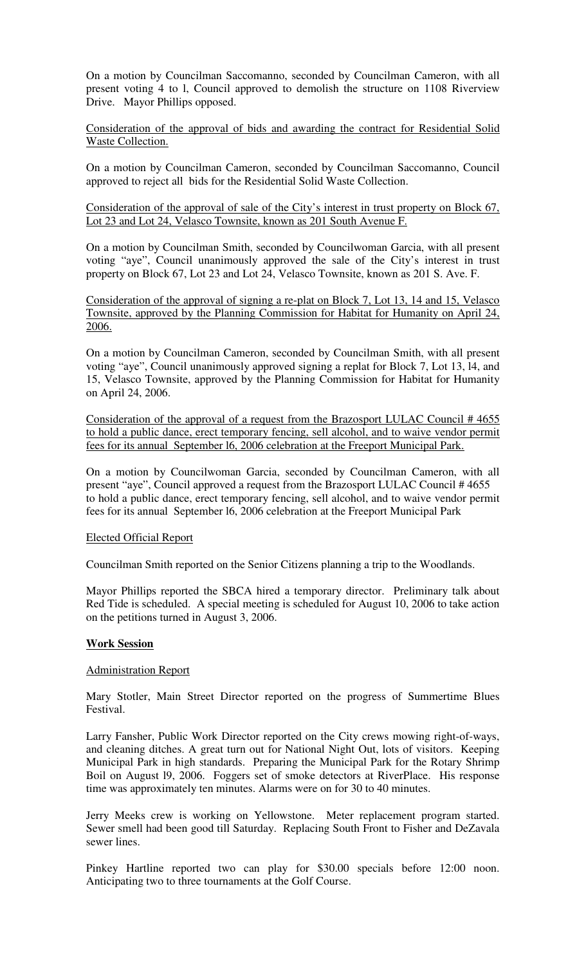On a motion by Councilman Saccomanno, seconded by Councilman Cameron, with all present voting 4 to l, Council approved to demolish the structure on 1108 Riverview Drive. Mayor Phillips opposed.

## Consideration of the approval of bids and awarding the contract for Residential Solid Waste Collection.

On a motion by Councilman Cameron, seconded by Councilman Saccomanno, Council approved to reject all bids for the Residential Solid Waste Collection.

#### Consideration of the approval of sale of the City's interest in trust property on Block 67, Lot 23 and Lot 24, Velasco Townsite, known as 201 South Avenue F.

On a motion by Councilman Smith, seconded by Councilwoman Garcia, with all present voting "aye", Council unanimously approved the sale of the City's interest in trust property on Block 67, Lot 23 and Lot 24, Velasco Townsite, known as 201 S. Ave. F.

Consideration of the approval of signing a re-plat on Block 7, Lot 13, 14 and 15, Velasco Townsite, approved by the Planning Commission for Habitat for Humanity on April 24, 2006.

On a motion by Councilman Cameron, seconded by Councilman Smith, with all present voting "aye", Council unanimously approved signing a replat for Block 7, Lot 13, l4, and 15, Velasco Townsite, approved by the Planning Commission for Habitat for Humanity on April 24, 2006.

Consideration of the approval of a request from the Brazosport LULAC Council # 4655 to hold a public dance, erect temporary fencing, sell alcohol, and to waive vendor permit fees for its annual September l6, 2006 celebration at the Freeport Municipal Park.

On a motion by Councilwoman Garcia, seconded by Councilman Cameron, with all present "aye", Council approved a request from the Brazosport LULAC Council # 4655 to hold a public dance, erect temporary fencing, sell alcohol, and to waive vendor permit fees for its annual September l6, 2006 celebration at the Freeport Municipal Park

# Elected Official Report

Councilman Smith reported on the Senior Citizens planning a trip to the Woodlands.

Mayor Phillips reported the SBCA hired a temporary director. Preliminary talk about Red Tide is scheduled. A special meeting is scheduled for August 10, 2006 to take action on the petitions turned in August 3, 2006.

# **Work Session**

#### Administration Report

Mary Stotler, Main Street Director reported on the progress of Summertime Blues Festival.

Larry Fansher, Public Work Director reported on the City crews mowing right-of-ways, and cleaning ditches. A great turn out for National Night Out, lots of visitors. Keeping Municipal Park in high standards. Preparing the Municipal Park for the Rotary Shrimp Boil on August l9, 2006. Foggers set of smoke detectors at RiverPlace. His response time was approximately ten minutes. Alarms were on for 30 to 40 minutes.

Jerry Meeks crew is working on Yellowstone. Meter replacement program started. Sewer smell had been good till Saturday. Replacing South Front to Fisher and DeZavala sewer lines.

Pinkey Hartline reported two can play for \$30.00 specials before 12:00 noon. Anticipating two to three tournaments at the Golf Course.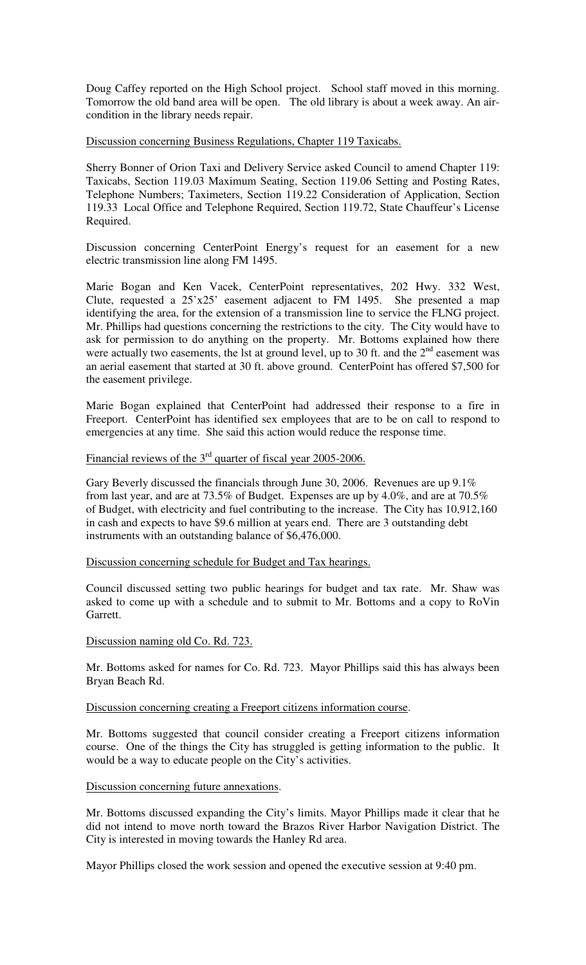Doug Caffey reported on the High School project. School staff moved in this morning. Tomorrow the old band area will be open. The old library is about a week away. An aircondition in the library needs repair.

Discussion concerning Business Regulations, Chapter 119 Taxicabs.

Sherry Bonner of Orion Taxi and Delivery Service asked Council to amend Chapter 119: Taxicabs, Section 119.03 Maximum Seating, Section 119.06 Setting and Posting Rates, Telephone Numbers; Taximeters, Section 119.22 Consideration of Application, Section 119.33 Local Office and Telephone Required, Section 119.72, State Chauffeur's License Required.

Discussion concerning CenterPoint Energy's request for an easement for a new electric transmission line along FM 1495.

Marie Bogan and Ken Vacek, CenterPoint representatives, 202 Hwy. 332 West, Clute, requested a 25'x25' easement adjacent to FM 1495. She presented a map identifying the area, for the extension of a transmission line to service the FLNG project. Mr. Phillips had questions concerning the restrictions to the city. The City would have to ask for permission to do anything on the property. Mr. Bottoms explained how there were actually two easements, the 1st at ground level, up to 30 ft. and the  $2<sup>nd</sup>$  easement was an aerial easement that started at 30 ft. above ground. CenterPoint has offered \$7,500 for the easement privilege.

Marie Bogan explained that CenterPoint had addressed their response to a fire in Freeport. CenterPoint has identified sex employees that are to be on call to respond to emergencies at any time. She said this action would reduce the response time.

Financial reviews of the  $3<sup>rd</sup>$  quarter of fiscal year 2005-2006.

Gary Beverly discussed the financials through June 30, 2006. Revenues are up 9.1% from last year, and are at 73.5% of Budget. Expenses are up by 4.0%, and are at 70.5% of Budget, with electricity and fuel contributing to the increase. The City has 10,912,160 in cash and expects to have \$9.6 million at years end. There are 3 outstanding debt instruments with an outstanding balance of \$6,476,000.

Discussion concerning schedule for Budget and Tax hearings.

Council discussed setting two public hearings for budget and tax rate. Mr. Shaw was asked to come up with a schedule and to submit to Mr. Bottoms and a copy to RoVin Garrett.

#### Discussion naming old Co. Rd. 723.

Mr. Bottoms asked for names for Co. Rd. 723. Mayor Phillips said this has always been Bryan Beach Rd.

Discussion concerning creating a Freeport citizens information course.

Mr. Bottoms suggested that council consider creating a Freeport citizens information course. One of the things the City has struggled is getting information to the public. It would be a way to educate people on the City's activities.

#### Discussion concerning future annexations.

Mr. Bottoms discussed expanding the City's limits. Mayor Phillips made it clear that he did not intend to move north toward the Brazos River Harbor Navigation District. The City is interested in moving towards the Hanley Rd area.

Mayor Phillips closed the work session and opened the executive session at 9:40 pm.